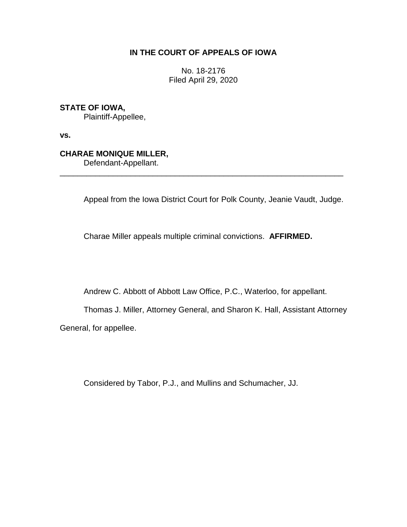## **IN THE COURT OF APPEALS OF IOWA**

No. 18-2176 Filed April 29, 2020

## **STATE OF IOWA,**

Plaintiff-Appellee,

**vs.**

## **CHARAE MONIQUE MILLER,**

Defendant-Appellant.

Appeal from the Iowa District Court for Polk County, Jeanie Vaudt, Judge.

Charae Miller appeals multiple criminal convictions. **AFFIRMED.**

\_\_\_\_\_\_\_\_\_\_\_\_\_\_\_\_\_\_\_\_\_\_\_\_\_\_\_\_\_\_\_\_\_\_\_\_\_\_\_\_\_\_\_\_\_\_\_\_\_\_\_\_\_\_\_\_\_\_\_\_\_\_\_\_

Andrew C. Abbott of Abbott Law Office, P.C., Waterloo, for appellant.

Thomas J. Miller, Attorney General, and Sharon K. Hall, Assistant Attorney General, for appellee.

Considered by Tabor, P.J., and Mullins and Schumacher, JJ.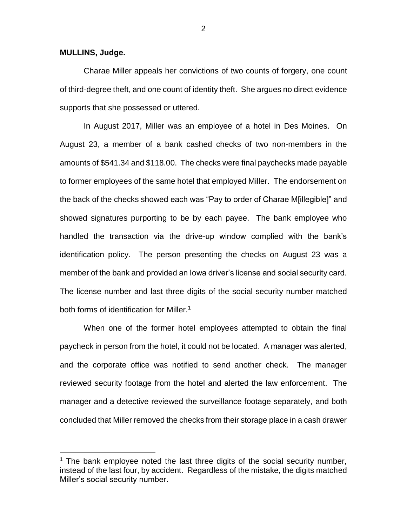**MULLINS, Judge.**

 $\overline{a}$ 

Charae Miller appeals her convictions of two counts of forgery, one count of third-degree theft, and one count of identity theft. She argues no direct evidence supports that she possessed or uttered.

In August 2017, Miller was an employee of a hotel in Des Moines. On August 23, a member of a bank cashed checks of two non-members in the amounts of \$541.34 and \$118.00. The checks were final paychecks made payable to former employees of the same hotel that employed Miller. The endorsement on the back of the checks showed each was "Pay to order of Charae M[illegible]" and showed signatures purporting to be by each payee. The bank employee who handled the transaction via the drive-up window complied with the bank's identification policy. The person presenting the checks on August 23 was a member of the bank and provided an Iowa driver's license and social security card. The license number and last three digits of the social security number matched both forms of identification for Miller.<sup>1</sup>

When one of the former hotel employees attempted to obtain the final paycheck in person from the hotel, it could not be located. A manager was alerted, and the corporate office was notified to send another check. The manager reviewed security footage from the hotel and alerted the law enforcement. The manager and a detective reviewed the surveillance footage separately, and both concluded that Miller removed the checks from their storage place in a cash drawer

 $1$  The bank employee noted the last three digits of the social security number, instead of the last four, by accident. Regardless of the mistake, the digits matched Miller's social security number.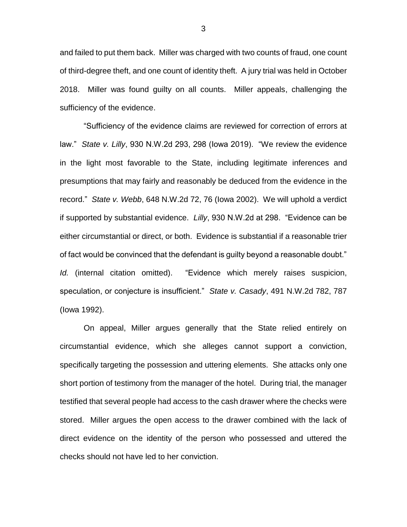and failed to put them back. Miller was charged with two counts of fraud, one count of third-degree theft, and one count of identity theft. A jury trial was held in October 2018. Miller was found guilty on all counts. Miller appeals, challenging the sufficiency of the evidence.

"Sufficiency of the evidence claims are reviewed for correction of errors at law." *State v. Lilly*, 930 N.W.2d 293, 298 (Iowa 2019). "We review the evidence in the light most favorable to the State, including legitimate inferences and presumptions that may fairly and reasonably be deduced from the evidence in the record." *State v. Webb*, 648 N.W.2d 72, 76 (Iowa 2002). We will uphold a verdict if supported by substantial evidence. *Lilly*, 930 N.W.2d at 298. "Evidence can be either circumstantial or direct, or both. Evidence is substantial if a reasonable trier of fact would be convinced that the defendant is guilty beyond a reasonable doubt." *Id.* (internal citation omitted). "Evidence which merely raises suspicion, speculation, or conjecture is insufficient." *State v. Casady*, 491 N.W.2d 782, 787 (Iowa 1992).

On appeal, Miller argues generally that the State relied entirely on circumstantial evidence, which she alleges cannot support a conviction, specifically targeting the possession and uttering elements. She attacks only one short portion of testimony from the manager of the hotel. During trial, the manager testified that several people had access to the cash drawer where the checks were stored. Miller argues the open access to the drawer combined with the lack of direct evidence on the identity of the person who possessed and uttered the checks should not have led to her conviction.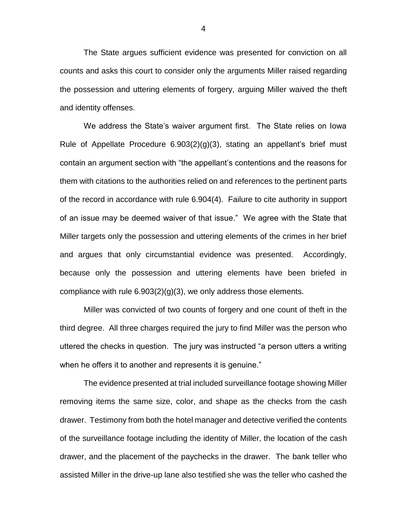The State argues sufficient evidence was presented for conviction on all counts and asks this court to consider only the arguments Miller raised regarding the possession and uttering elements of forgery, arguing Miller waived the theft and identity offenses.

We address the State's waiver argument first. The State relies on Iowa Rule of Appellate Procedure 6.903(2)(g)(3), stating an appellant's brief must contain an argument section with "the appellant's contentions and the reasons for them with citations to the authorities relied on and references to the pertinent parts of the record in accordance with rule 6.904(4). Failure to cite authority in support of an issue may be deemed waiver of that issue." We agree with the State that Miller targets only the possession and uttering elements of the crimes in her brief and argues that only circumstantial evidence was presented. Accordingly, because only the possession and uttering elements have been briefed in compliance with rule  $6.903(2)(g)(3)$ , we only address those elements.

Miller was convicted of two counts of forgery and one count of theft in the third degree. All three charges required the jury to find Miller was the person who uttered the checks in question. The jury was instructed "a person utters a writing when he offers it to another and represents it is genuine."

The evidence presented at trial included surveillance footage showing Miller removing items the same size, color, and shape as the checks from the cash drawer. Testimony from both the hotel manager and detective verified the contents of the surveillance footage including the identity of Miller, the location of the cash drawer, and the placement of the paychecks in the drawer. The bank teller who assisted Miller in the drive-up lane also testified she was the teller who cashed the